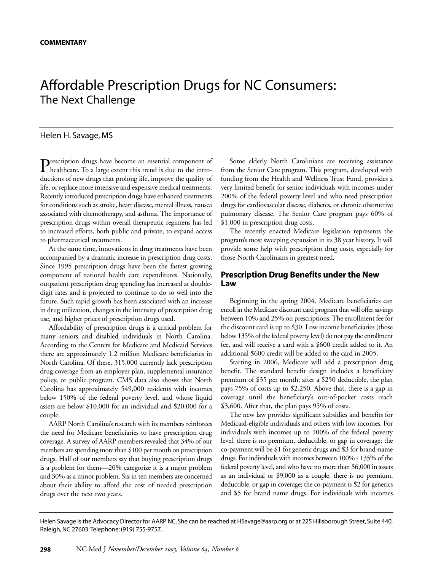# Affordable Prescription Drugs for NC Consumers: The Next Challenge

#### Helen H. Savage, MS

Prescription drugs have become an essential component of<br>healthcare. To a large extent this trend is due to the introductions of new drugs that prolong life, improve the quality of life, or replace more intensive and expensive medical treatments. Recently introduced prescription drugs have enhanced treatments for conditions such as stroke, heart disease, mental illness, nausea associated with chemotherapy, and asthma. The importance of prescription drugs within overall therapeutic regimens has led to increased efforts, both public and private, to expand access to pharmaceutical treatments.

At the same time, innovations in drug treatments have been accompanied by a dramatic increase in prescription drug costs. Since 1995 prescription drugs have been the fastest growing component of national health care expenditures. Nationally, outpatient prescription drug spending has increased at doubledigit rates and is projected to continue to do so well into the future. Such rapid growth has been associated with an increase in drug utilization, changes in the intensity of prescription drug use, and higher prices of prescription drugs used.

Affordability of prescription drugs is a critical problem for many seniors and disabled individuals in North Carolina. According to the Centers for Medicare and Medicaid Services there are approximately 1.2 million Medicare beneficiaries in North Carolina. Of these, 315,000 currently lack prescription drug coverage from an employer plan, supplemental insurance policy, or public program. CMS data also shows that North Carolina has approximately 549,000 residents with incomes below 150% of the federal poverty level, and whose liquid assets are below \$10,000 for an individual and \$20,000 for a couple.

AARP North Carolina's research with its members reinforces the need for Medicare beneficiaries to have prescription drug coverage. A survey of AARP members revealed that 34% of our members are spending more than \$100 per month on prescription drugs. Half of our members say that buying prescription drugs is a problem for them—20% categorize it is a major problem and 30% as a minor problem. Six in ten members are concerned about their ability to afford the cost of needed prescription drugs over the next two years.

Some elderly North Carolinians are receiving assistance from the Senior Care program. This program, developed with funding from the Health and Wellness Trust Fund, provides a very limited benefit for senior individuals with incomes under 200% of the federal poverty level and who need prescription drugs for cardiovascular disease, diabetes, or chronic obstructive pulmonary disease. The Senior Care program pays 60% of \$1,000 in prescription drug costs.

The recently enacted Medicare legislation represents the program's most sweeping expansion in its 38 year history. It will provide some help with prescription drug costs, especially for those North Carolinians in greatest need.

## **Prescription Drug Benefits under the New Law**

Beginning in the spring 2004, Medicare beneficiaries can enroll in the Medicare discount card program that will offer savings between 10% and 25% on prescriptions. The enrollment fee for the discount card is up to \$30. Low income beneficiaries (those below 135% of the federal poverty level) do not pay the enrollment fee, and will receive a card with a \$600 credit added to it. An additional \$600 credit will be added to the card in 2005.

Starting in 2006, Medicare will add a prescription drug benefit. The standard benefit design includes a beneficiary premium of \$35 per month; after a \$250 deductible, the plan pays 75% of costs up to \$2,250. Above that, there is a gap in coverage until the beneficiary's out-of-pocket costs reach \$3,600. After that, the plan pays 95% of costs.

The new law provides significant subsidies and benefits for Medicaid-eligible individuals and others with low incomes. For individuals with incomes up to 100% of the federal poverty level, there is no premium, deductible, or gap in coverage; the co-payment will be \$1 for generic drugs and \$3 for brand-name drugs. For individuals with incomes between 100% - 135% of the federal poverty level, and who have no more than \$6,000 in assets as an individual or \$9,000 as a couple, there is no premium, deductible, or gap in coverage; the co-payment is \$2 for generics and \$5 for brand name drugs. For individuals with incomes

Helen Savage is the Advocacy Director for AARP NC. She can be reached at HSavage@aarp.org or at 225 Hillsborough Street, Suite 440, Raleigh, NC 27603.Telephone: (919) 755-9757.